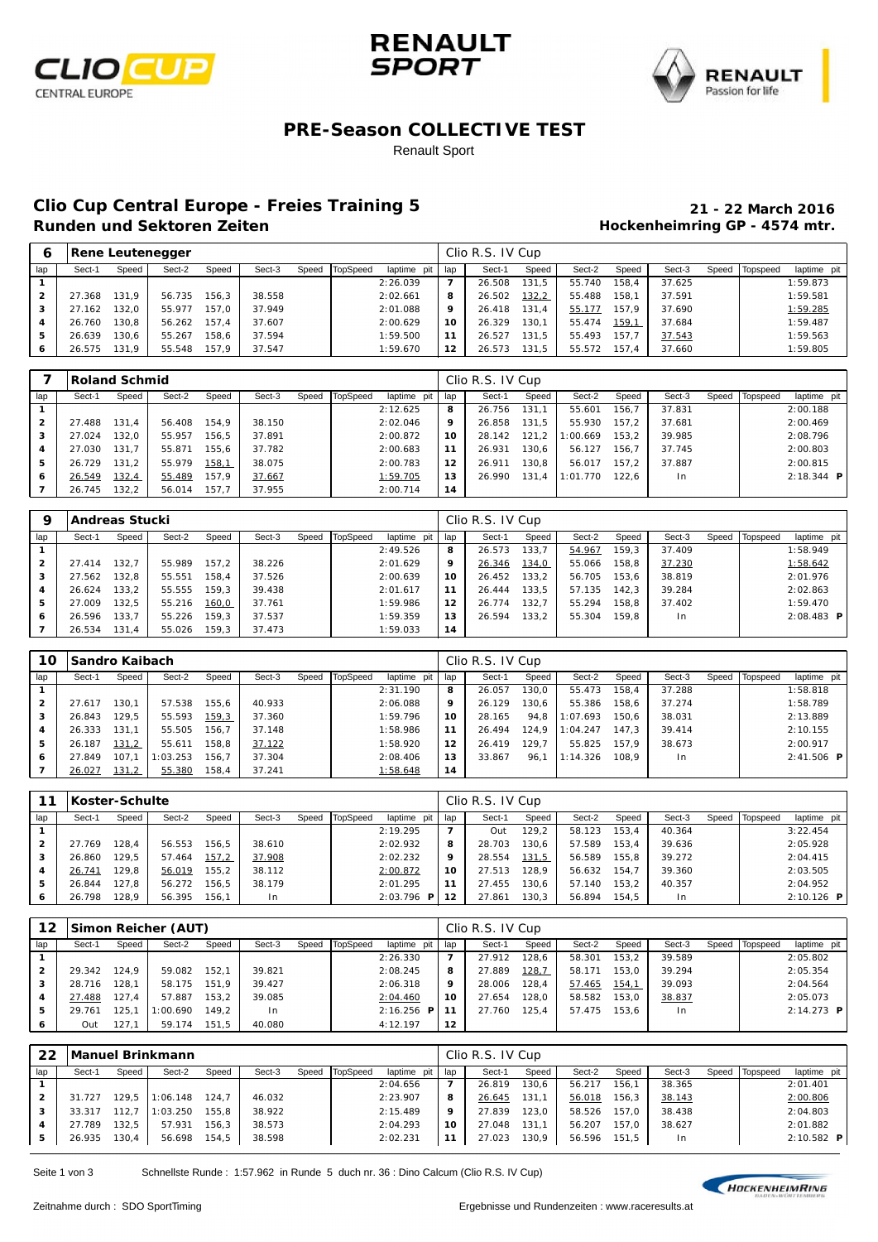





### **PRE-Season COLLECTIVE TEST**

Renault Sport

# **Clio Cup Central Europe - Freies Training 5 21 - 22 March 2016**

### **Hockenheimring GP - 4574 mtr.**

| O   |        |       | <b>Rene Leutenegger</b> |       |        |       |          |             |     | Clio R.S. IV Cup |        |        |       |        |       |          |             |
|-----|--------|-------|-------------------------|-------|--------|-------|----------|-------------|-----|------------------|--------|--------|-------|--------|-------|----------|-------------|
| lap | Sect-1 | Speed | Sect-2                  | Speed | Sect-3 | Speed | TopSpeed | laptime pit | lap | Sect-1           | Speed  | Sect-2 | Speed | Sect-3 | Speed | Topspeed | laptime pit |
|     |        |       |                         |       |        |       |          | 2:26.039    |     | 26.508           | 131.5  | 55.740 | 158.4 | 37.625 |       |          | 1:59.873    |
|     | 27.368 | 131.9 | 56.735                  | 156.3 | 38.558 |       |          | 2:02.661    | 8   | 26.502           | 132, 2 | 55.488 | 158.1 | 37.591 |       |          | 1:59.581    |
| з   | 27.162 | 132.0 | 55.977                  | 157.0 | 37.949 |       |          | 2:01.088    | 9   | 26.418           | 131.4  | 55.177 | 157.9 | 37.690 |       |          | 1:59.285    |
| 4   | 26.760 | 130.8 | 56.262                  | 157.4 | 37.607 |       |          | 2:00.629    | 10  | 26.329           | 130.1  | 55.474 | 159,1 | 37.684 |       |          | 1:59.487    |
| 5   | 26.639 | 130.6 | 55.267                  | 158.6 | 37.594 |       |          | 1:59.500    | 11  | 26.527           | 131.5  | 55.493 | 157.7 | 37.543 |       |          | 1:59.563    |
| 6   | 26.575 | 131.9 | 55.548                  | 157.9 | 37.547 |       |          | 1:59.670    | 12  | 26.573           | 131.5  | 55.572 | 157.4 | 37.660 |       |          | 1:59.805    |

|     |        | <b>Roland Schmid</b> |        |       |        |       |                 |             |     | Clio R.S. IV Cup |       |          |       |        |       |          |                     |
|-----|--------|----------------------|--------|-------|--------|-------|-----------------|-------------|-----|------------------|-------|----------|-------|--------|-------|----------|---------------------|
| lap | Sect-1 | Speed                | Sect-2 | Speed | Sect-3 | Speed | <b>TopSpeed</b> | laptime pit | lap | Sect-1           | Speed | Sect-2   | Speed | Sect-3 | Speed | Topspeed | laptime pit         |
|     |        |                      |        |       |        |       |                 | 2:12.625    | 8   | 26.756           | 131.7 | 55.601   | 56.7  | 37.831 |       |          | 2:00.188            |
| 2   | 27.488 | 131.4                | 56.408 | 154.9 | 38.150 |       |                 | 2:02.046    | 9   | 26.858           | 131.5 | 55.930   | 157.2 | 37.681 |       |          | 2:00.469            |
| з   | 27.024 | 132.0                | 55.957 | 156.5 | 37.891 |       |                 | 2:00.872    | 10  | 28.142           | 121.2 | : 00.669 | 153.2 | 39.985 |       |          | 2:08.796            |
| 4   | 27.030 | 131.7                | 55.871 | 155.6 | 37.782 |       |                 | 2:00.683    | 11  | 26.931           | 130.6 | 56.127   | 156.7 | 37.745 |       |          | 2:00.803            |
| 5   | 26.729 | 131.2                | 55.979 | 158,1 | 38.075 |       |                 | 2:00.783    | 12  | 26.911           | 130.8 | 56.017   | 157.2 | 37.887 |       |          | 2:00.815            |
| 6   | 26.549 | 132,4                | 55.489 | 157.9 | 37.667 |       |                 | 1:59.705    | 13  | 26.990           | 131.4 | :01.770  | 122.6 | $\ln$  |       |          | $2:18.344$ <b>P</b> |
|     | 26.745 | 132.2                | 56.014 | 157,7 | 37.955 |       |                 | 2:00.714    | 14  |                  |       |          |       |        |       |          |                     |

| 9            |        | Andreas Stucki |        |       |        |       |          |             |     | Clio R.S. IV Cup |       |        |       |        |       |          |                     |
|--------------|--------|----------------|--------|-------|--------|-------|----------|-------------|-----|------------------|-------|--------|-------|--------|-------|----------|---------------------|
| lap          | Sect-1 | Speed          | Sect-2 | Speed | Sect-3 | Speed | TopSpeed | laptime pit | lap | Sect-1           | Speed | Sect-2 | Speed | Sect-3 | Speed | Topspeed | laptime pit         |
|              |        |                |        |       |        |       |          | 2:49.526    | 8   | 26.573           | 133.7 | 54.967 | 159.3 | 37.409 |       |          | 1:58.949            |
| $\mathbf{2}$ | 27.414 | 132.7          | 55.989 | 157.2 | 38.226 |       |          | 2:01.629    | 9   | 26.346           | 134,0 | 55.066 | 158.8 | 37.230 |       |          | 1:58.642            |
| з            | 27.562 | 132.8          | 55.551 | 158.4 | 37.526 |       |          | 2:00.639    | 10  | 26.452           | 133.2 | 56.705 | 153.6 | 38.819 |       |          | 2:01.976            |
|              | 26.624 | 133.2          | 55.555 | 159.3 | 39.438 |       |          | 2:01.617    | 11  | 26.444           | 133.5 | 57.135 | 142.3 | 39.284 |       |          | 2:02.863            |
| 5            | 27.009 | 132.5          | 55.216 | 160,0 | 37.761 |       |          | 1:59.986    | 12  | 26.774           | 132.7 | 55.294 | 158.8 | 37.402 |       |          | 1:59.470            |
| 6            | 26.596 | 133.7          | 55.226 | 159.3 | 37.537 |       |          | 1:59.359    | 13  | 26.594           | 133.2 | 55.304 | 159.8 | In     |       |          | $2:08.483$ <b>P</b> |
|              | 26.534 | 131.4          | 55.026 | 159.3 | 37.473 |       |          | 1:59.033    | 14  |                  |       |        |       |        |       |          |                     |

| 10             | <b>Sandro Kaibach</b> |       |          |       |        |       |          |             |     | Clio R.S. IV Cup |       |          |       |        |       |          |              |
|----------------|-----------------------|-------|----------|-------|--------|-------|----------|-------------|-----|------------------|-------|----------|-------|--------|-------|----------|--------------|
| lap            | Sect-1                | Speed | Sect-2   | Speed | Sect-3 | Speed | TopSpeed | laptime pit | lap | Sect-1           | Speed | Sect-2   | Speed | Sect-3 | Speed | Topspeed | laptime pit  |
|                |                       |       |          |       |        |       |          | 2:31.190    | 8   | 26.057           | 30.0  | 55.473   | 158.4 | 37.288 |       |          | 1:58.818     |
| $\overline{2}$ | 27.617                | 130.1 | 57.538   | 155.6 | 40.933 |       |          | 2:06.088    | 9   | 26.129           | 30.6  | 55.386   | 158.6 | 37.274 |       |          | 1:58.789     |
| з              | 26.843                | 129.5 | 55.593   | 159,3 | 37.360 |       |          | 1:59.796    | 10  | 28.165           | 94.8  | 1:07.693 | 150.6 | 38.031 |       |          | 2:13.889     |
| 4              | 26.333                | 131.1 | 55.505   | 156.7 | 37.148 |       |          | 1:58.986    | 11  | 26.494           | 124.9 | 1:04.247 | 147.3 | 39.414 |       |          | 2:10.155     |
| 5              | 26.187                | 131,2 | 55.611   | 158.8 | 37.122 |       |          | 1:58.920    | 12  | 26.419           | 129.7 | 55.825   | 157.9 | 38.673 |       |          | 2:00.917     |
| 6              | 27.849                | 107.7 | 1:03.253 | 156.7 | 37.304 |       |          | 2:08.406    | 13  | 33.867           | 96.1  | 1:14.326 | 108.9 | $\ln$  |       |          | $2:41.506$ P |
|                | 26.027                | 131,2 | 55.380   | 158.4 | 37.241 |       |          | 1:58.648    | 14  |                  |       |          |       |        |       |          |              |

|                |        | Koster-Schulte |        |       |        |       |          |               |     | Clio R.S. IV Cup |       |        |       |                |       |          |              |
|----------------|--------|----------------|--------|-------|--------|-------|----------|---------------|-----|------------------|-------|--------|-------|----------------|-------|----------|--------------|
| lap            | Sect-1 | Speed          | Sect-2 | Speed | Sect-3 | Speed | TopSpeed | laptime pit   | lap | Sect-1           | Speed | Sect-2 | Speed | Sect-3         | Speed | Topspeed | laptime pit  |
|                |        |                |        |       |        |       |          | 2:19.295      | 7   | Out              | 129.2 | 58.123 | 153.4 | 40.364         |       |          | 3:22.454     |
| $\overline{2}$ | 27.769 | 28.4           | 56.553 | 156.5 | 38.610 |       |          | 2:02.932      | 8   | 28.703           | 130.6 | 57.589 | 153.4 | 39.636         |       |          | 2:05.928     |
| 3              | 26.860 | 29.5           | 57.464 | 157,2 | 37.908 |       |          | 2:02.232      | 9   | 28.554           | 131,5 | 56.589 | 155.8 | 39.272         |       |          | 2:04.415     |
| 4              | 26.741 | 29.8           | 56.019 | 155.2 | 38.112 |       |          | 2:00.872      | 10  | 27.513           | 128.9 | 56.632 | 154.7 | 39.360         |       |          | 2:03.505     |
| 5              | 26.844 | 127.8          | 56.272 | 156.5 | 38.179 |       |          | 2:01.295      | 11  | 27.455           | 130.6 | 57.140 | 153.2 | 40.357         |       |          | 2:04.952     |
| 6              | 26.798 | 28.9           | 56.395 | 156.1 | In.    |       |          | 2:03.796<br>P | 12  | 27.861           | 130,3 | 56.894 | 154.5 | 1 <sub>n</sub> |       |          | $2:10.126$ P |

| 12  |        |       | Simon Reicher (AUT) |       |        |                |               |     | Clio R.S. IV Cup |               |        |       |        |       |          |              |
|-----|--------|-------|---------------------|-------|--------|----------------|---------------|-----|------------------|---------------|--------|-------|--------|-------|----------|--------------|
| lap | Sect-1 | Speed | Sect-2              | Speed | Sect-3 | Speed TopSpeed | laptime pit   | lap | Sect-1           | Speed         | Sect-2 | Speed | Sect-3 | Speed | Topspeed | laptime pit  |
|     |        |       |                     |       |        |                | 2:26.330      | 7   | 27.912           | 128.6         | 58.301 | 153,2 | 39.589 |       |          | 2:05.802     |
| 2   | 29.342 | 124.9 | 59.082              | 152.1 | 39.821 |                | 2:08.245      | 8   | 27.889           | <u> 128,7</u> | 58.171 | 153.0 | 39.294 |       |          | 2:05.354     |
| 3   | 28.716 | 128.1 | 58.175              | 151.9 | 39.427 |                | 2:06.318      | 9   | 28.006           | 128,4         | 57.465 | 154,1 | 39.093 |       |          | 2:04.564     |
|     | 27.488 | 127.4 | 57.887              | 153.2 | 39.085 |                | 2:04.460      | 10  | 27.654           | 128.0         | 58.582 | 153.0 | 38.837 |       |          | 2:05.073     |
| 5   | 29.761 | 25.   | 1:00.690            | 149.2 | l n    |                | 2:16.256<br>P | 11  | 27.760           | 125.4         | 57.475 | 153.6 | 1n     |       |          | $2:14.273$ P |
| 6   | Out    | 127.  | 59.174              | 151.5 | 40.080 |                | 4:12.197      | 12  |                  |               |        |       |        |       |          |              |

| 22  |        |       | Manuel Brinkmann |       |        |       |          |             |     | Clio R.S. IV Cup |       |        |       |        |       |          |                     |
|-----|--------|-------|------------------|-------|--------|-------|----------|-------------|-----|------------------|-------|--------|-------|--------|-------|----------|---------------------|
| lap | Sect-1 | Speed | Sect-2           | Speed | Sect-3 | Speed | TopSpeed | laptime pit | lap | Sect-1           | Speed | Sect-2 | Speed | Sect-3 | Speed | Topspeed | laptime pit         |
|     |        |       |                  |       |        |       |          | 2:04.656    | 7   | 26.819           | 130,6 | 56.217 | 156.1 | 38.365 |       |          | 2:01.401            |
|     | 31.727 | 129.5 | 1:06.148         | 124.7 | 46.032 |       |          | 2:23.907    | 8   | 26.645           | 131.1 | 56.018 | 156,3 | 38.143 |       |          | 2:00.806            |
|     | 33.317 | 112.7 | 1:03.250         | 155.8 | 38.922 |       |          | 2:15.489    | 9   | 27.839           | 123.0 | 58.526 | 157.0 | 38.438 |       |          | 2:04.803            |
| 4   | 27.789 | 132.5 | 57.931           | 156.3 | 38.573 |       |          | 2:04.293    | 10  | 27.048           | 131.1 | 56.207 | 157.0 | 38.627 |       |          | 2:01.882            |
|     | 26.935 | 130,4 | 56.698           | 154.5 | 38.598 |       |          | 2:02.231    | 11  | 27.023           | 130,9 | 56.596 | 151,5 | In     |       |          | 2:10.582 $\text{P}$ |

Seite 1 von 3 Schnellste Runde : 1:57.962 in Runde 5 duch nr. 36 : Dino Calcum (Clio R.S. IV Cup)

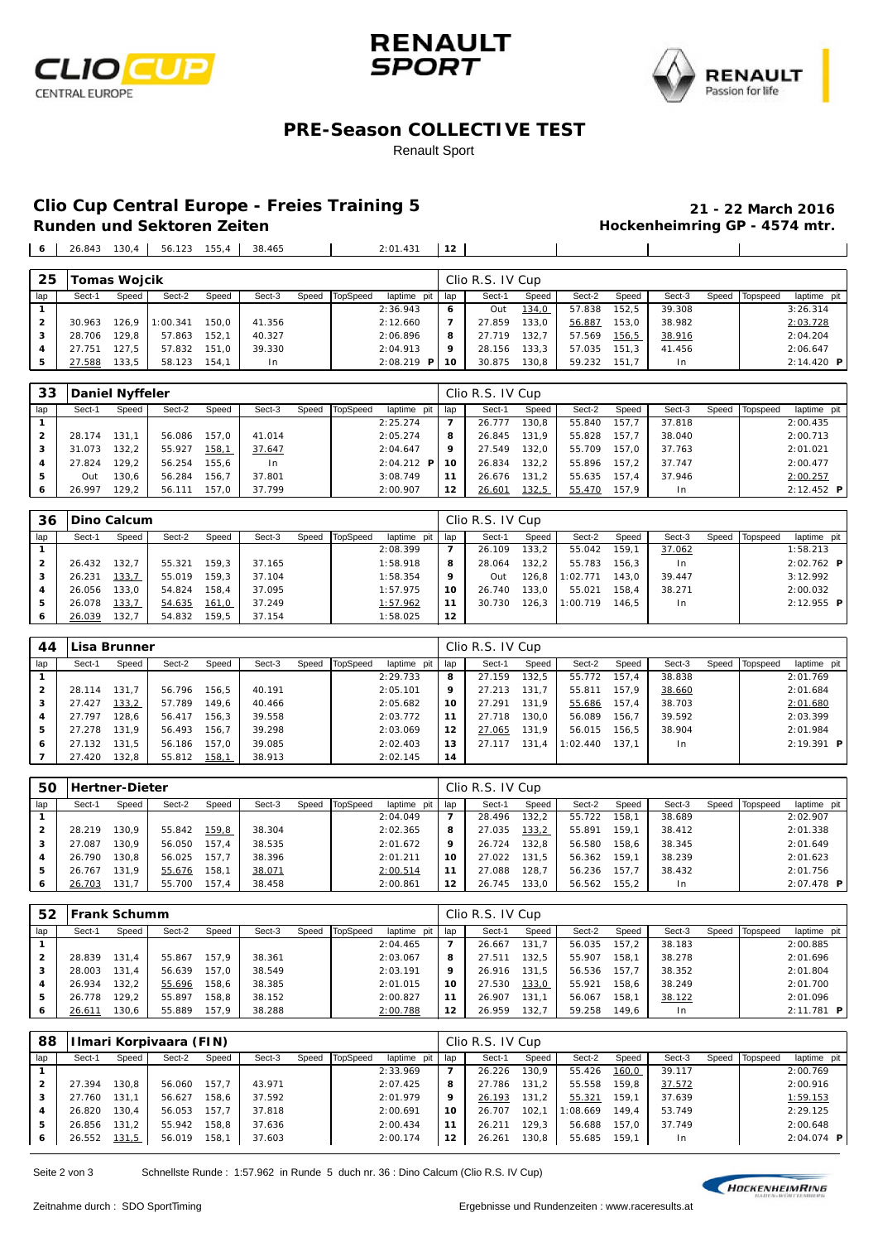





#### **PRE-Season COLLECTIVE TEST**

#### Renault Sport

## **Clio Cup Central Europe - Freies Training 5 21 - 22 March 2016**

## **Hockenheimring GP - 4574 mtr.**

 26.843 130,4 56.123 155,4 38.465 2:01.431 **12**  $\overline{1}$ **Tomas Wojcik** Clio R.S. IV Cup

| --  |        |       |          |       |        |                |               |         |        |       |        |       |        |                |              |
|-----|--------|-------|----------|-------|--------|----------------|---------------|---------|--------|-------|--------|-------|--------|----------------|--------------|
| lap | Sect-1 | Speed | Sect-2   | Speed | Sect-3 | Speed TopSpeed | laptime pit I | l lap   | Sect-1 | Speed | Sect-2 | Speed | Sect-3 | Speed Topspeed | laptime pit  |
|     |        |       |          |       |        |                | 2:36.943      | ь       | Out    | 134,0 | 57.838 | 152.5 | 39.308 |                | 3:26.314     |
| 2   | 30.963 | 126.9 | 1:00.341 | 150.0 | 41.356 |                | 2:12.660      |         | 27.859 | 133,0 | 56.887 | 153.0 | 38.982 |                | 2:03.728     |
|     | 28.706 | 129.8 | 57.863   | 152.1 | 40.327 |                | 2:06.896      | 8       | 27.719 | 132.7 | 57.569 | 156.5 | 38.916 |                | 2:04.204     |
|     | 27.751 | 127.5 | 57.832   | 151.0 | 39.330 |                | 2:04.913      | $\circ$ | 28.156 | 133.3 | 57.035 | 151.3 | 41.456 |                | 2:06.647     |
| -5  | 27.588 | 133.5 | 58.123   | 154.1 | In.    |                | $2:08.219$ P  | 10      | 30.875 | 130,8 | 59.232 | 151.7 | $\ln$  |                | $2:14.420$ P |

| 33             |        | Daniel Nyffeler |        |              |        |       |          |                     |     | Clio R.S. IV Cup |              |        |       |        |       |          |                     |
|----------------|--------|-----------------|--------|--------------|--------|-------|----------|---------------------|-----|------------------|--------------|--------|-------|--------|-------|----------|---------------------|
| lap            | Sect-1 | Speed           | Sect-2 | Speed        | Sect-3 | Speed | TopSpeed | laptime pit         | lap | Sect-1           | Speed        | Sect-2 | Speed | Sect-3 | Speed | Topspeed | laptime pit         |
|                |        |                 |        |              |        |       |          | 2:25.274            | 7   | 26.777           | 130.8        | 55.840 | 157.7 | 37.818 |       |          | 2:00.435            |
| $\overline{2}$ | 28.174 | 131.1           | 56.086 | 157.0        | 41.014 |       |          | 2:05.274            | 8   | 26.845           | 131.9        | 55.828 | 157.7 | 38.040 |       |          | 2:00.713            |
| 3              | 31.073 | 132.2           | 55.927 | <u>158,1</u> | 37.647 |       |          | 2:04.647            | 9   | 27.549           | 132.0        | 55.709 | 157.0 | 37.763 |       |          | 2:01.021            |
|                | 27.824 | 29.2            | 56.254 | 155.6        | l n    |       |          | $2:04.212$ <b>P</b> | 10  | 26.834           | 132,2        | 55.896 | 157.2 | 37.747 |       |          | 2:00.477            |
| 5              | Out    | 30.6            | 56.284 | 156.7        | 37.801 |       |          | 3:08.749            | 11  | 26.676           | 131.2        | 55.635 | 157.4 | 37.946 |       |          | 2:00.257            |
| 6              | 26.997 | 129.2           | 56.111 | 157.0        | 37.799 |       |          | 2:00.907            | 12  | 26.601           | <u>132,5</u> | 55.470 | 157.9 | I n    |       |          | $2:12.452$ <b>P</b> |

| 36           |        | <b>IDino Calcum</b> |        |       |        |                  |             |     | Clio R.S. IV Cup |         |          |       |        |       |          |                     |
|--------------|--------|---------------------|--------|-------|--------|------------------|-------------|-----|------------------|---------|----------|-------|--------|-------|----------|---------------------|
| lap          | Sect-1 | Speed               | Sect-2 | Speed | Sect-3 | Speed   TopSpeed | laptime pit | lap | Sect-1           | Speed   | Sect-2   | Speed | Sect-3 | Speed | Topspeed | laptime pit         |
|              |        |                     |        |       |        |                  | 2:08.399    |     | 26.109           | 133,2   | 55.042   | 159.1 | 37.062 |       |          | 1:58.213            |
| $\mathbf{2}$ | 26.432 | 132.7               | 55.321 | 159.3 | 37.165 |                  | 1:58.918    | 8   | 28.064           | 132,2   | 55.783   | 156.3 | I n    |       |          | $2:02.762$ <b>P</b> |
| 3            | 26.231 | 133,7               | 55.019 | 159.3 | 37.104 |                  | 1:58.354    | 9   | Out              | 126,8   | 1:02.771 | 143.0 | 39.447 |       |          | 3:12.992            |
|              | 26.056 | 133.0               | 54.824 | 158.4 | 37.095 |                  | 1:57.975    | 10  | 26.740           | 133.0   | 55.021   | 158,4 | 38.271 |       |          | 2:00.032            |
| 5            | 26.078 | 133,7               | 54.635 | 161,0 | 37.249 |                  | 1:57.962    | 11  | 30.730           | 126.3 l | 1:00.719 | 146.5 | l n    |       |          | $2:12.955$ <b>P</b> |
| 6            | 26.039 | 132.7               | 54.832 | 159.5 | 37.154 |                  | 1:58.025    | 12  |                  |         |          |       |        |       |          |                     |

| 44           |        | Lisa Brunner |        |       |        |       |          |             |     | Clio R.S. IV Cup |       |          |       |                |       |          |              |
|--------------|--------|--------------|--------|-------|--------|-------|----------|-------------|-----|------------------|-------|----------|-------|----------------|-------|----------|--------------|
| lap          | Sect-1 | Speed        | Sect-2 | Speed | Sect-3 | Speed | TopSpeed | laptime pit | lap | Sect-1           | Speed | Sect-2   | Speed | Sect-3         | Speed | Topspeed | laptime pit  |
|              |        |              |        |       |        |       |          | 2:29.733    | 8   | 27.159           | 32.5  | 55.772   | 157.4 | 38.838         |       |          | 2:01.769     |
| $\mathbf{2}$ | 28.114 | 131.7        | 56.796 | 156.5 | 40.191 |       |          | 2:05.101    | 9   | 27.213           | 131.7 | 55.811   | 157.9 | 38.660         |       |          | 2:01.684     |
| з            | 27.427 | 133,2        | 57.789 | 149.6 | 40.466 |       |          | 2:05.682    | 10  | 27.291           | 131.9 | 55.686   | 157.4 | 38.703         |       |          | 2:01.680     |
| 4            | 27.797 | 128.6        | 56.417 | 156.3 | 39.558 |       |          | 2:03.772    | 11  | 27.718           | 30.0  | 56.089   | 156.7 | 39.592         |       |          | 2:03.399     |
| 5            | 27.278 | 131.9        | 56.493 | 156.7 | 39.298 |       |          | 2:03.069    | 12  | 27.065           | 131,9 | 56.015   | 156.5 | 38.904         |       |          | 2:01.984     |
| ь            | 27.132 | 131.5        | 56.186 | 157.0 | 39.085 |       |          | 2:02.403    | 13  | 27.117           | 131.4 | 1:02.440 | 137.1 | 1 <sub>n</sub> |       |          | $2:19.391$ P |
|              | 27.420 | 132.8        | 55.812 | 158,1 | 38.913 |       |          | 2:02.145    | 14  |                  |       |          |       |                |       |          |              |

| 50  |        | <b>Hertner-Dieter</b> |        |       |        |       |          |             |     | Clio R.S. IV Cup |       |        |       |        |       |          |              |
|-----|--------|-----------------------|--------|-------|--------|-------|----------|-------------|-----|------------------|-------|--------|-------|--------|-------|----------|--------------|
| lap | Sect-1 | Speed                 | Sect-2 | Speed | Sect-3 | Speed | TopSpeed | laptime pit | lap | Sect-1           | Speed | Sect-2 | Speed | Sect-3 | Speed | Topspeed | laptime pit  |
|     |        |                       |        |       |        |       |          | 2:04.049    |     | 28.496           | 32.2  | 55.722 | 158.1 | 38.689 |       |          | 2:02.907     |
| 2   | 28.219 | 130.9                 | 55.842 | 159,8 | 38.304 |       |          | 2:02.365    | 8   | 27.035           | 133,2 | 55.891 | 159.1 | 38.412 |       |          | 2:01.338     |
| 3   | 27.087 | 130.9                 | 56.050 | 157.4 | 38.535 |       |          | 2:01.672    | 9   | 26.724           | 32.8  | 56.580 | 158,6 | 38.345 |       |          | 2:01.649     |
| 4   | 26.790 | 130.8                 | 56.025 | 157.7 | 38.396 |       |          | 2:01.211    | 10  | 27.022           | 131.5 | 56.362 | 159.1 | 38.239 |       |          | 2:01.623     |
| 5   | 26.767 | 131.9                 | 55.676 | 158.1 | 38.071 |       |          | 2:00.514    | 11  | 27.088           | 28.7  | 56.236 | 157.7 | 38.432 |       |          | 2:01.756     |
| 6   | 26.703 | 131,7                 | 55.700 | 157.4 | 38.458 |       |          | 2:00.861    | 12  | 26.745           | 33,0  | 56.562 | 155,2 | l n    |       |          | $2:07.478$ P |

| 52             | lFrank Schumm |       |        |       |        |       |          |             |     | Clio R.S. IV Cup |       |        |       |        |       |          |              |
|----------------|---------------|-------|--------|-------|--------|-------|----------|-------------|-----|------------------|-------|--------|-------|--------|-------|----------|--------------|
| lap            | Sect-1        | Speed | Sect-2 | Speed | Sect-3 | Speed | TopSpeed | laptime pit | lap | Sect-1           | Speed | Sect-2 | Speed | Sect-3 | Speed | Topspeed | laptime pit  |
|                |               |       |        |       |        |       |          | 2:04.465    | 7   | 26.667           | 131.7 | 56.035 | 157.2 | 38.183 |       |          | 2:00.885     |
| $\overline{2}$ | 28.839        | 131.4 | 55.867 | 157.9 | 38.361 |       |          | 2:03.067    | 8   | 27.511           | 132.5 | 55.907 | '58.1 | 38.278 |       |          | 2:01.696     |
| 3              | 28.003        | 131.4 | 56.639 | 157.0 | 38.549 |       |          | 2:03.191    | 9   | 26.916           | 131.5 | 56.536 | 157.7 | 38.352 |       |          | 2:01.804     |
|                | 26.934        | 132.2 | 55.696 | 158.6 | 38.385 |       |          | 2:01.015    | 10  | 27.530           | 133,0 | 55.921 | 58.6  | 38.249 |       |          | 2:01.700     |
| 5              | 26.778        | 29.2  | 55.897 | 158.8 | 38.152 |       |          | 2:00.827    | 11  | 26.907           | 131.1 | 56.067 | 58.1  | 38.122 |       |          | 2:01.096     |
| 6              | 26.61         | 30.6  | 55.889 | 157.9 | 38.288 |       |          | 2:00.788    | 12  | 26.959           | 132.7 | 59.258 | 149.6 | In.    |       |          | $2:11.781$ P |

| 88  |        |       | Ilmari Korpivaara (FIN) |       |        |       |          |             | Clio R.S. IV Cup |        |       |         |       |        |       |          |                     |
|-----|--------|-------|-------------------------|-------|--------|-------|----------|-------------|------------------|--------|-------|---------|-------|--------|-------|----------|---------------------|
| lap | Sect-1 | Speed | Sect-2                  | Speed | Sect-3 | Speed | TopSpeed | laptime pit | lap              | Sect-1 | Speed | Sect-2  | Speed | Sect-3 | Speed | Topspeed | laptime pit         |
|     |        |       |                         |       |        |       |          | 2:33.969    | $\overline{7}$   | 26.226 | 130.9 | 55.426  | 160,0 | 39.117 |       |          | 2:00.769            |
| 2   | 27.394 | 130.8 | 56.060                  | 157.7 | 43.971 |       |          | 2:07.425    | 8                | 27.786 | 131.2 | 55.558  | 159.8 | 37.572 |       |          | 2:00.916            |
| 3   | 27.760 | 131.1 | 56.627                  | 158.6 | 37.592 |       |          | 2:01.979    | 9                | 26.193 | 131.2 | 55.321  | 159.1 | 37.639 |       |          | 1:59.153            |
|     | 26.820 | 130.4 | 56.053                  | 157.7 | 37.818 |       |          | 2:00.691    | 10               | 26.707 | 102.7 | :08.669 | 149.4 | 53.749 |       |          | 2:29.125            |
| 5   | 26.856 | 131.2 | 55.942                  | 158.8 | 37.636 |       |          | 2:00.434    | 11               | 26.211 | 129,3 | 56.688  | 157.0 | 37.749 |       |          | 2:00.648            |
| 6   | 26.552 | 131,5 | 56.019                  | 158.  | 37.603 |       |          | 2:00.174    | 12               | 26.261 | 130,8 | 55.685  | 159.1 | In     |       |          | $2:04.074$ <b>P</b> |